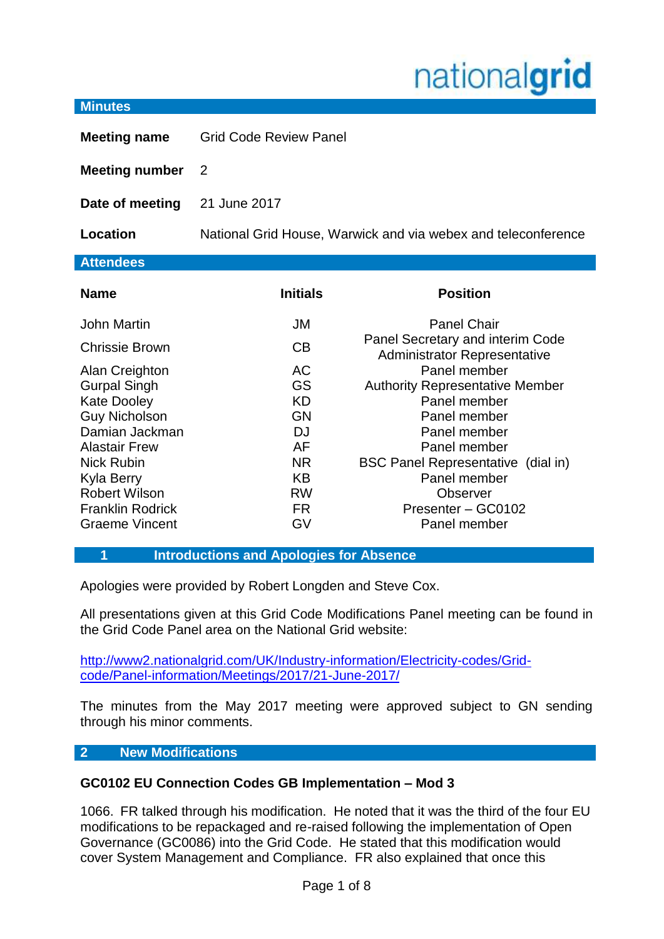# nationalgrid

#### **Minutes**

**Meeting name** Grid Code Review Panel

**Meeting number** 2

**Date of meeting** 21 June 2017

**Location** National Grid House, Warwick and via webex and teleconference

# **Attendees**

| <b>Name</b>             | <b>Initials</b> | <b>Position</b>                                                         |
|-------------------------|-----------------|-------------------------------------------------------------------------|
| <b>John Martin</b>      | JM              | <b>Panel Chair</b>                                                      |
| <b>Chrissie Brown</b>   | CB              | Panel Secretary and interim Code<br><b>Administrator Representative</b> |
| Alan Creighton          | <b>AC</b>       | Panel member                                                            |
| <b>Gurpal Singh</b>     | GS              | <b>Authority Representative Member</b>                                  |
| <b>Kate Dooley</b>      | <b>KD</b>       | Panel member                                                            |
| <b>Guy Nicholson</b>    | <b>GN</b>       | Panel member                                                            |
| Damian Jackman          | DJ              | Panel member                                                            |
| <b>Alastair Frew</b>    | AF              | Panel member                                                            |
| <b>Nick Rubin</b>       | <b>NR</b>       | <b>BSC Panel Representative (dial in)</b>                               |
| <b>Kyla Berry</b>       | <b>KB</b>       | Panel member                                                            |
| <b>Robert Wilson</b>    | <b>RW</b>       | <b>Observer</b>                                                         |
| <b>Franklin Rodrick</b> | FR.             | Presenter - GC0102                                                      |
| <b>Graeme Vincent</b>   | GV              | Panel member                                                            |

**1 Introductions and Apologies for Absence**

Apologies were provided by Robert Longden and Steve Cox.

All presentations given at this Grid Code Modifications Panel meeting can be found in the Grid Code Panel area on the National Grid website:

[http://www2.nationalgrid.com/UK/Industry-information/Electricity-codes/Grid](http://www2.nationalgrid.com/UK/Industry-information/Electricity-codes/Grid-code/Panel-information/Meetings/2017/21-June-2017/)[code/Panel-information/Meetings/2017/21-June-2017/](http://www2.nationalgrid.com/UK/Industry-information/Electricity-codes/Grid-code/Panel-information/Meetings/2017/21-June-2017/)

The minutes from the May 2017 meeting were approved subject to GN sending through his minor comments.

# **2 New Modifications**

# **GC0102 EU Connection Codes GB Implementation – Mod 3**

1066. FR talked through his modification. He noted that it was the third of the four EU modifications to be repackaged and re-raised following the implementation of Open Governance (GC0086) into the Grid Code. He stated that this modification would cover System Management and Compliance. FR also explained that once this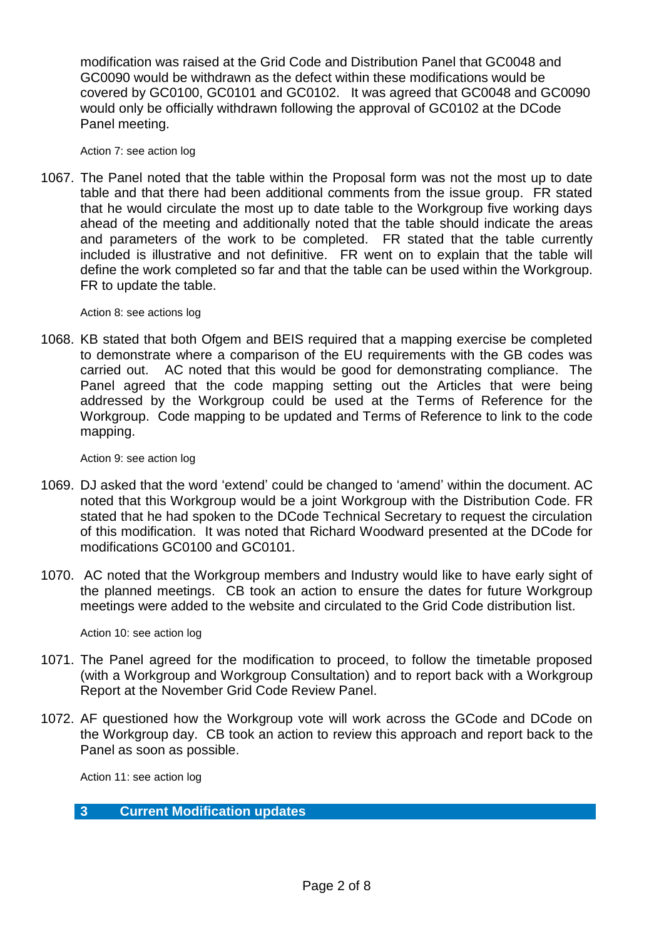modification was raised at the Grid Code and Distribution Panel that GC0048 and GC0090 would be withdrawn as the defect within these modifications would be covered by GC0100, GC0101 and GC0102. It was agreed that GC0048 and GC0090 would only be officially withdrawn following the approval of GC0102 at the DCode Panel meeting.

Action 7: see action log

1067. The Panel noted that the table within the Proposal form was not the most up to date table and that there had been additional comments from the issue group. FR stated that he would circulate the most up to date table to the Workgroup five working days ahead of the meeting and additionally noted that the table should indicate the areas and parameters of the work to be completed. FR stated that the table currently included is illustrative and not definitive. FR went on to explain that the table will define the work completed so far and that the table can be used within the Workgroup. FR to update the table.

Action 8: see actions log

1068. KB stated that both Ofgem and BEIS required that a mapping exercise be completed to demonstrate where a comparison of the EU requirements with the GB codes was carried out. AC noted that this would be good for demonstrating compliance. The Panel agreed that the code mapping setting out the Articles that were being addressed by the Workgroup could be used at the Terms of Reference for the Workgroup. Code mapping to be updated and Terms of Reference to link to the code mapping.

Action 9: see action log

- 1069. DJ asked that the word 'extend' could be changed to 'amend' within the document. AC noted that this Workgroup would be a joint Workgroup with the Distribution Code. FR stated that he had spoken to the DCode Technical Secretary to request the circulation of this modification. It was noted that Richard Woodward presented at the DCode for modifications GC0100 and GC0101.
- 1070. AC noted that the Workgroup members and Industry would like to have early sight of the planned meetings. CB took an action to ensure the dates for future Workgroup meetings were added to the website and circulated to the Grid Code distribution list.

Action 10: see action log

- 1071. The Panel agreed for the modification to proceed, to follow the timetable proposed (with a Workgroup and Workgroup Consultation) and to report back with a Workgroup Report at the November Grid Code Review Panel.
- 1072. AF questioned how the Workgroup vote will work across the GCode and DCode on the Workgroup day. CB took an action to review this approach and report back to the Panel as soon as possible.

Action 11: see action log

**3 Current Modification updates**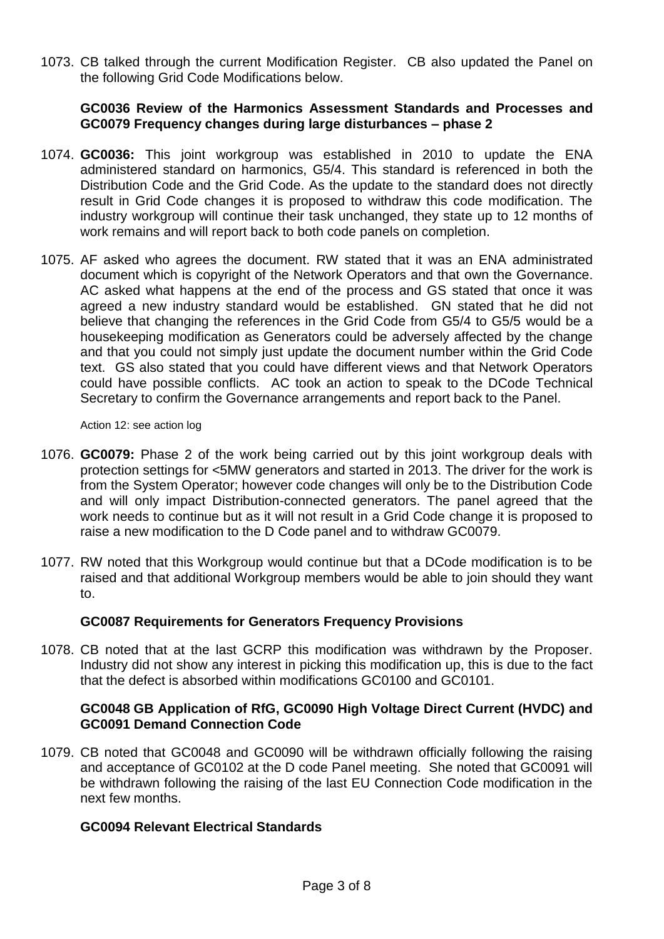1073. CB talked through the current Modification Register. CB also updated the Panel on the following Grid Code Modifications below.

# **GC0036 Review of the Harmonics Assessment Standards and Processes and GC0079 Frequency changes during large disturbances – phase 2**

- 1074. **GC0036:** This joint workgroup was established in 2010 to update the ENA administered standard on harmonics, G5/4. This standard is referenced in both the Distribution Code and the Grid Code. As the update to the standard does not directly result in Grid Code changes it is proposed to withdraw this code modification. The industry workgroup will continue their task unchanged, they state up to 12 months of work remains and will report back to both code panels on completion.
- 1075. AF asked who agrees the document. RW stated that it was an ENA administrated document which is copyright of the Network Operators and that own the Governance. AC asked what happens at the end of the process and GS stated that once it was agreed a new industry standard would be established. GN stated that he did not believe that changing the references in the Grid Code from G5/4 to G5/5 would be a housekeeping modification as Generators could be adversely affected by the change and that you could not simply just update the document number within the Grid Code text. GS also stated that you could have different views and that Network Operators could have possible conflicts. AC took an action to speak to the DCode Technical Secretary to confirm the Governance arrangements and report back to the Panel.

Action 12: see action log

- 1076. **GC0079:** Phase 2 of the work being carried out by this joint workgroup deals with protection settings for <5MW generators and started in 2013. The driver for the work is from the System Operator; however code changes will only be to the Distribution Code and will only impact Distribution-connected generators. The panel agreed that the work needs to continue but as it will not result in a Grid Code change it is proposed to raise a new modification to the D Code panel and to withdraw GC0079.
- 1077. RW noted that this Workgroup would continue but that a DCode modification is to be raised and that additional Workgroup members would be able to join should they want to.

# **GC0087 Requirements for Generators Frequency Provisions**

1078. CB noted that at the last GCRP this modification was withdrawn by the Proposer. Industry did not show any interest in picking this modification up, this is due to the fact that the defect is absorbed within modifications GC0100 and GC0101.

# **GC0048 GB Application of RfG, GC0090 High Voltage Direct Current (HVDC) and GC0091 Demand Connection Code**

1079. CB noted that GC0048 and GC0090 will be withdrawn officially following the raising and acceptance of GC0102 at the D code Panel meeting. She noted that GC0091 will be withdrawn following the raising of the last EU Connection Code modification in the next few months.

# **GC0094 Relevant Electrical Standards**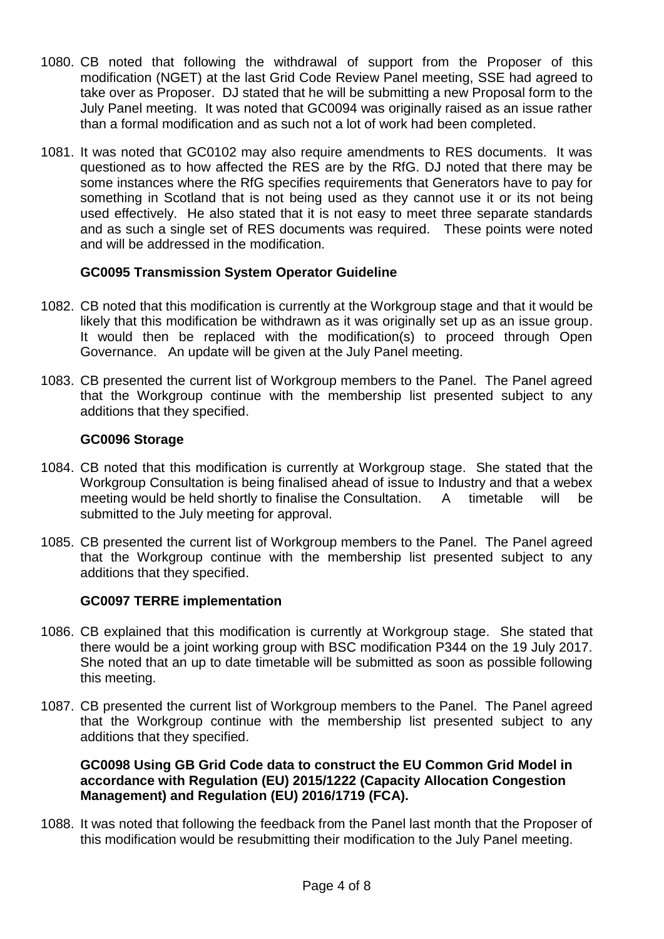- 1080. CB noted that following the withdrawal of support from the Proposer of this modification (NGET) at the last Grid Code Review Panel meeting, SSE had agreed to take over as Proposer. DJ stated that he will be submitting a new Proposal form to the July Panel meeting. It was noted that GC0094 was originally raised as an issue rather than a formal modification and as such not a lot of work had been completed.
- 1081. It was noted that GC0102 may also require amendments to RES documents. It was questioned as to how affected the RES are by the RfG. DJ noted that there may be some instances where the RfG specifies requirements that Generators have to pay for something in Scotland that is not being used as they cannot use it or its not being used effectively. He also stated that it is not easy to meet three separate standards and as such a single set of RES documents was required. These points were noted and will be addressed in the modification.

# **GC0095 Transmission System Operator Guideline**

- 1082. CB noted that this modification is currently at the Workgroup stage and that it would be likely that this modification be withdrawn as it was originally set up as an issue group. It would then be replaced with the modification(s) to proceed through Open Governance. An update will be given at the July Panel meeting.
- 1083. CB presented the current list of Workgroup members to the Panel. The Panel agreed that the Workgroup continue with the membership list presented subject to any additions that they specified.

# **GC0096 Storage**

- 1084. CB noted that this modification is currently at Workgroup stage. She stated that the Workgroup Consultation is being finalised ahead of issue to Industry and that a webex meeting would be held shortly to finalise the Consultation. A timetable will be submitted to the July meeting for approval.
- 1085. CB presented the current list of Workgroup members to the Panel. The Panel agreed that the Workgroup continue with the membership list presented subject to any additions that they specified.

# **GC0097 TERRE implementation**

- 1086. CB explained that this modification is currently at Workgroup stage. She stated that there would be a joint working group with BSC modification P344 on the 19 July 2017. She noted that an up to date timetable will be submitted as soon as possible following this meeting.
- 1087. CB presented the current list of Workgroup members to the Panel. The Panel agreed that the Workgroup continue with the membership list presented subject to any additions that they specified.

# **GC0098 Using GB Grid Code data to construct the EU Common Grid Model in accordance with Regulation (EU) 2015/1222 (Capacity Allocation Congestion Management) and Regulation (EU) 2016/1719 (FCA).**

1088. It was noted that following the feedback from the Panel last month that the Proposer of this modification would be resubmitting their modification to the July Panel meeting.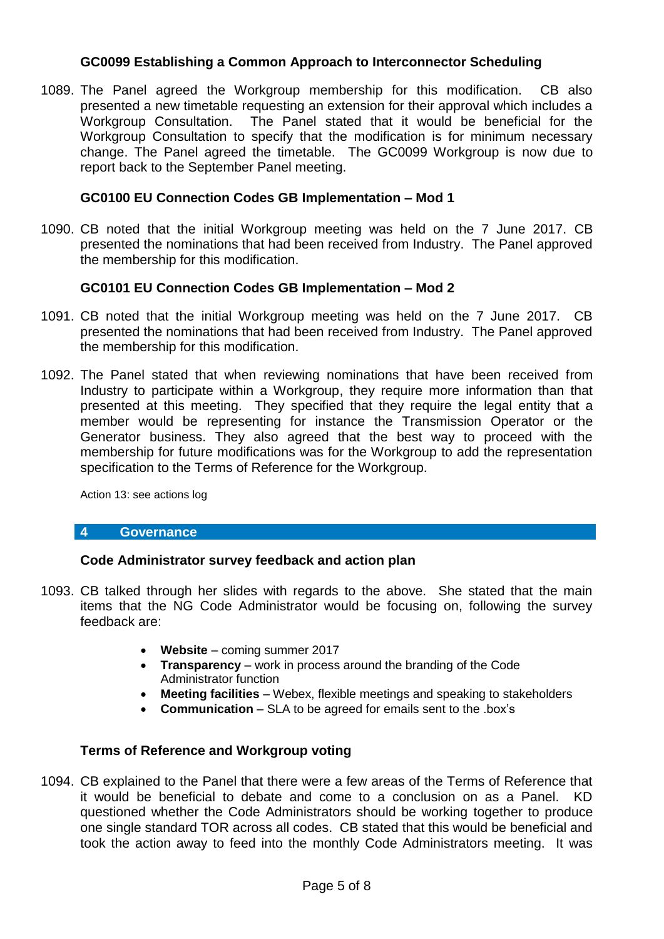# **GC0099 Establishing a Common Approach to Interconnector Scheduling**

1089. The Panel agreed the Workgroup membership for this modification. CB also presented a new timetable requesting an extension for their approval which includes a Workgroup Consultation. The Panel stated that it would be beneficial for the Workgroup Consultation to specify that the modification is for minimum necessary change. The Panel agreed the timetable. The GC0099 Workgroup is now due to report back to the September Panel meeting.

# **GC0100 EU Connection Codes GB Implementation – Mod 1**

1090. CB noted that the initial Workgroup meeting was held on the 7 June 2017. CB presented the nominations that had been received from Industry. The Panel approved the membership for this modification.

# **GC0101 EU Connection Codes GB Implementation – Mod 2**

- 1091. CB noted that the initial Workgroup meeting was held on the 7 June 2017. CB presented the nominations that had been received from Industry. The Panel approved the membership for this modification.
- 1092. The Panel stated that when reviewing nominations that have been received from Industry to participate within a Workgroup, they require more information than that presented at this meeting. They specified that they require the legal entity that a member would be representing for instance the Transmission Operator or the Generator business. They also agreed that the best way to proceed with the membership for future modifications was for the Workgroup to add the representation specification to the Terms of Reference for the Workgroup.

Action 13: see actions log

# **4 Governance**

# **Code Administrator survey feedback and action plan**

- 1093. CB talked through her slides with regards to the above. She stated that the main items that the NG Code Administrator would be focusing on, following the survey feedback are:
	- **Website** coming summer 2017
	- **Transparency** work in process around the branding of the Code Administrator function
	- **Meeting facilities** Webex, flexible meetings and speaking to stakeholders
	- **Communication**  SLA to be agreed for emails sent to the .box's

# **Terms of Reference and Workgroup voting**

1094. CB explained to the Panel that there were a few areas of the Terms of Reference that it would be beneficial to debate and come to a conclusion on as a Panel. KD questioned whether the Code Administrators should be working together to produce one single standard TOR across all codes. CB stated that this would be beneficial and took the action away to feed into the monthly Code Administrators meeting. It was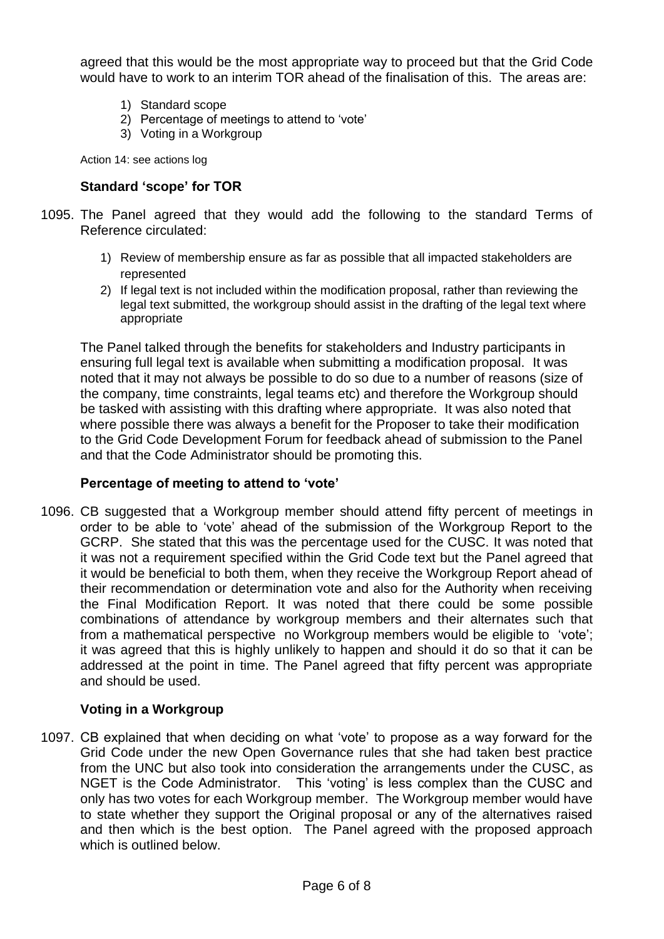agreed that this would be the most appropriate way to proceed but that the Grid Code would have to work to an interim TOR ahead of the finalisation of this. The areas are:

- 1) Standard scope
- 2) Percentage of meetings to attend to 'vote'
- 3) Voting in a Workgroup

Action 14: see actions log

# **Standard 'scope' for TOR**

- 1095. The Panel agreed that they would add the following to the standard Terms of Reference circulated:
	- 1) Review of membership ensure as far as possible that all impacted stakeholders are represented
	- 2) If legal text is not included within the modification proposal, rather than reviewing the legal text submitted, the workgroup should assist in the drafting of the legal text where appropriate

The Panel talked through the benefits for stakeholders and Industry participants in ensuring full legal text is available when submitting a modification proposal. It was noted that it may not always be possible to do so due to a number of reasons (size of the company, time constraints, legal teams etc) and therefore the Workgroup should be tasked with assisting with this drafting where appropriate. It was also noted that where possible there was always a benefit for the Proposer to take their modification to the Grid Code Development Forum for feedback ahead of submission to the Panel and that the Code Administrator should be promoting this.

# **Percentage of meeting to attend to 'vote'**

1096. CB suggested that a Workgroup member should attend fifty percent of meetings in order to be able to 'vote' ahead of the submission of the Workgroup Report to the GCRP. She stated that this was the percentage used for the CUSC. It was noted that it was not a requirement specified within the Grid Code text but the Panel agreed that it would be beneficial to both them, when they receive the Workgroup Report ahead of their recommendation or determination vote and also for the Authority when receiving the Final Modification Report. It was noted that there could be some possible combinations of attendance by workgroup members and their alternates such that from a mathematical perspective no Workgroup members would be eligible to 'vote'; it was agreed that this is highly unlikely to happen and should it do so that it can be addressed at the point in time. The Panel agreed that fifty percent was appropriate and should be used.

# **Voting in a Workgroup**

1097. CB explained that when deciding on what 'vote' to propose as a way forward for the Grid Code under the new Open Governance rules that she had taken best practice from the UNC but also took into consideration the arrangements under the CUSC, as NGET is the Code Administrator. This 'voting' is less complex than the CUSC and only has two votes for each Workgroup member. The Workgroup member would have to state whether they support the Original proposal or any of the alternatives raised and then which is the best option. The Panel agreed with the proposed approach which is outlined below.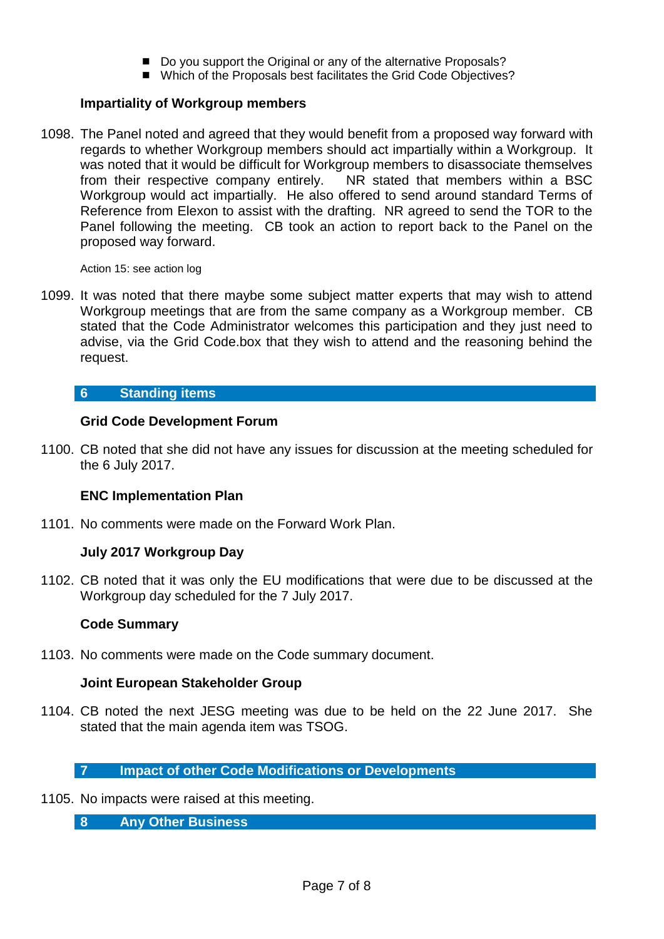- Do you support the Original or any of the alternative Proposals?
- Which of the Proposals best facilitates the Grid Code Objectives?

# **Impartiality of Workgroup members**

1098. The Panel noted and agreed that they would benefit from a proposed way forward with regards to whether Workgroup members should act impartially within a Workgroup. It was noted that it would be difficult for Workgroup members to disassociate themselves from their respective company entirely. NR stated that members within a BSC Workgroup would act impartially. He also offered to send around standard Terms of Reference from Elexon to assist with the drafting. NR agreed to send the TOR to the Panel following the meeting. CB took an action to report back to the Panel on the proposed way forward.

Action 15: see action log

1099. It was noted that there maybe some subject matter experts that may wish to attend Workgroup meetings that are from the same company as a Workgroup member. CB stated that the Code Administrator welcomes this participation and they just need to advise, via the Grid Code.box that they wish to attend and the reasoning behind the request.

# **6 Standing items**

# **Grid Code Development Forum**

1100. CB noted that she did not have any issues for discussion at the meeting scheduled for the 6 July 2017.

# **ENC Implementation Plan**

1101. No comments were made on the Forward Work Plan.

# **July 2017 Workgroup Day**

1102. CB noted that it was only the EU modifications that were due to be discussed at the Workgroup day scheduled for the 7 July 2017.

# **Code Summary**

1103. No comments were made on the Code summary document.

# **Joint European Stakeholder Group**

1104. CB noted the next JESG meeting was due to be held on the 22 June 2017. She stated that the main agenda item was TSOG.

# **7 Impact of other Code Modifications or Developments**

1105. No impacts were raised at this meeting.

**8 Any Other Business**